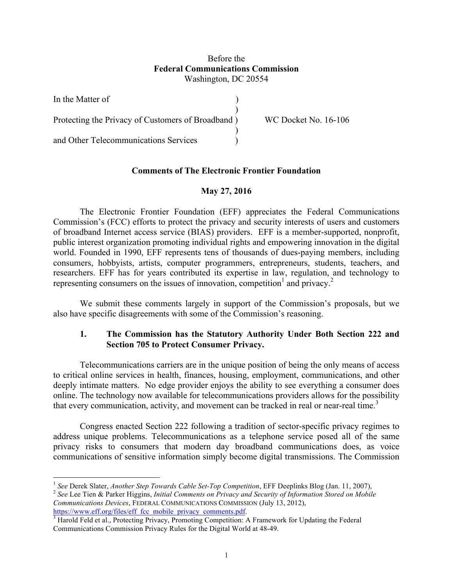## Before the **Federal Communications Commission** Washington, DC 20554

| In the Matter of                                  |                      |
|---------------------------------------------------|----------------------|
| Protecting the Privacy of Customers of Broadband) | WC Docket No. 16-106 |
| and Other Telecommunications Services             |                      |

# **Comments of The Electronic Frontier Foundation**

## **May 27, 2016**

The Electronic Frontier Foundation (EFF) appreciates the Federal Communications Commission's (FCC) efforts to protect the privacy and security interests of users and customers of broadband Internet access service (BIAS) providers. EFF is a member-supported, nonprofit, public interest organization promoting individual rights and empowering innovation in the digital world. Founded in 1990, EFF represents tens of thousands of dues-paying members, including consumers, hobbyists, artists, computer programmers, entrepreneurs, students, teachers, and researchers. EFF has for years contributed its expertise in law, regulation, and technology to representing consumers on the issues of innovation, competition<sup>1</sup> and privacy.<sup>2</sup>

We submit these comments largely in support of the Commission's proposals, but we also have specific disagreements with some of the Commission's reasoning.

# **1. The Commission has the Statutory Authority Under Both Section 222 and Section 705 to Protect Consumer Privacy.**

Telecommunications carriers are in the unique position of being the only means of access to critical online services in health, finances, housing, employment, communications, and other deeply intimate matters. No edge provider enjoys the ability to see everything a consumer does online. The technology now available for telecommunications providers allows for the possibility that every communication, activity, and movement can be tracked in real or near-real time.<sup>3</sup>

Congress enacted Section 222 following a tradition of sector-specific privacy regimes to address unique problems. Telecommunications as a telephone service posed all of the same privacy risks to consumers that modern day broadband communications does, as voice communications of sensitive information simply become digital transmissions. The Commission

<sup>&</sup>lt;sup>1</sup> See Derek Slater, Another Step Towards Cable Set-Top Competition, EFF Deeplinks Blog (Jan. 11, 2007), <sup>2</sup> See Lee Tien & Parker Higgins, *Initial Comments on Privacy and Security of Information Stored on Mobile* 

*Communications Devices*, FEDERAL COMMUNICATIONS COMMISSION (July 13, 2012),

https://www.eff.org/files/eff\_fcc\_mobile\_privacy\_comments.pdf. 3 Harold Feld et al., Protecting Privacy, Promoting Competition: A Framework for Updating the Federal Communications Commission Privacy Rules for the Digital World at 48-49.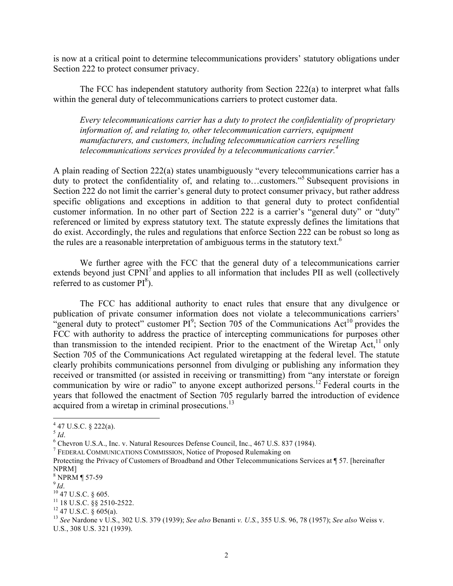is now at a critical point to determine telecommunications providers' statutory obligations under Section 222 to protect consumer privacy.

The FCC has independent statutory authority from Section 222(a) to interpret what falls within the general duty of telecommunications carriers to protect customer data.

*Every telecommunications carrier has a duty to protect the confidentiality of proprietary information of, and relating to, other telecommunication carriers, equipment manufacturers, and customers, including telecommunication carriers reselling telecommunications services provided by a telecommunications carrier.<sup>4</sup>*

A plain reading of Section 222(a) states unambiguously "every telecommunications carrier has a duty to protect the confidentiality of, and relating to…customers."5 Subsequent provisions in Section 222 do not limit the carrier's general duty to protect consumer privacy, but rather address specific obligations and exceptions in addition to that general duty to protect confidential customer information. In no other part of Section 222 is a carrier's "general duty" or "duty" referenced or limited by express statutory text. The statute expressly defines the limitations that do exist. Accordingly, the rules and regulations that enforce Section 222 can be robust so long as the rules are a reasonable interpretation of ambiguous terms in the statutory text. 6

We further agree with the FCC that the general duty of a telecommunications carrier extends beyond just CPNI<sup>7</sup> and applies to all information that includes PII as well (collectively referred to as customer  $PI^8$ ).

The FCC has additional authority to enact rules that ensure that any divulgence or publication of private consumer information does not violate a telecommunications carriers' "general duty to protect" customer  $PI^9$ ; Section 705 of the Communications Act<sup>10</sup> provides the FCC with authority to address the practice of intercepting communications for purposes other than transmission to the intended recipient. Prior to the enactment of the Wiretap Act,<sup>11</sup> only Section 705 of the Communications Act regulated wiretapping at the federal level. The statute clearly prohibits communications personnel from divulging or publishing any information they received or transmitted (or assisted in receiving or transmitting) from "any interstate or foreign communication by wire or radio" to anyone except authorized persons.<sup>12</sup> Federal courts in the years that followed the enactment of Section 705 regularly barred the introduction of evidence acquired from a wiretap in criminal prosecutions.<sup>13</sup>

 $^{4}$  47 U.S.C. § 222(a).<br> $^{5}$  *Id.* 

<sup>&</sup>lt;sup>6</sup> Chevron U.S.A., Inc. v. Natural Resources Defense Council, Inc., 467 U.S. 837 (1984).<br><sup>7</sup> FEDERAL COMMUNICATIONS COMMISSION, Notice of Proposed Rulemaking on

Protecting the Privacy of Customers of Broadband and Other Telecommunications Services at ¶ 57. [hereinafter NPRM]<br><sup>8</sup> NPRM ¶ 57-59

<sup>&</sup>lt;sup>9</sup> *Id.*<br><sup>10</sup> 47 U.S.C. § 605.<br><sup>11</sup> 18 U.S.C. §§ 2510-2522.<br><sup>12</sup> 47 U.S.C. § 605(a).<br><sup>13</sup> *See* Nardone v U.S., 302 U.S. 379 (1939); *See also* Benanti v. *U.S.*, 355 U.S. 96, 78 (1957); *See also* Weiss v.

U.S*.*, 308 U.S. 321 (1939).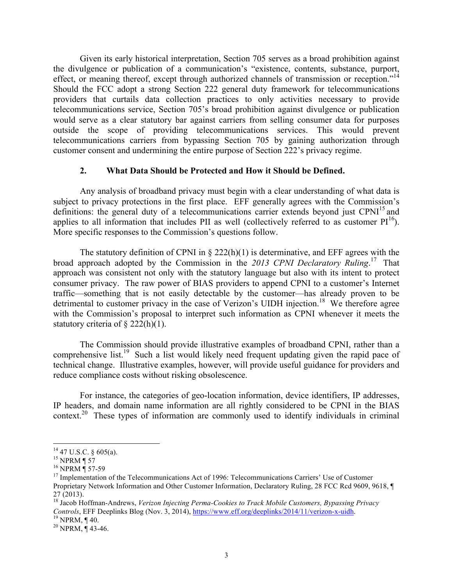Given its early historical interpretation, Section 705 serves as a broad prohibition against the divulgence or publication of a communication's "existence, contents, substance, purport, effect, or meaning thereof, except through authorized channels of transmission or reception."<sup>14</sup> Should the FCC adopt a strong Section 222 general duty framework for telecommunications providers that curtails data collection practices to only activities necessary to provide telecommunications service, Section 705's broad prohibition against divulgence or publication would serve as a clear statutory bar against carriers from selling consumer data for purposes outside the scope of providing telecommunications services. This would prevent telecommunications carriers from bypassing Section 705 by gaining authorization through customer consent and undermining the entire purpose of Section 222's privacy regime.

## **2. What Data Should be Protected and How it Should be Defined.**

Any analysis of broadband privacy must begin with a clear understanding of what data is subject to privacy protections in the first place. EFF generally agrees with the Commission's definitions: the general duty of a telecommunications carrier extends beyond just CPNI<sup>15</sup> and applies to all information that includes PII as well (collectively referred to as customer  $PI<sup>16</sup>$ ). More specific responses to the Commission's questions follow.

The statutory definition of CPNI in  $\S$  222(h)(1) is determinative, and EFF agrees with the broad approach adopted by the Commission in the *2013 CPNI Declaratory Ruling*. 17 That approach was consistent not only with the statutory language but also with its intent to protect consumer privacy. The raw power of BIAS providers to append CPNI to a customer's Internet traffic—something that is not easily detectable by the customer—has already proven to be detrimental to customer privacy in the case of Verizon's UIDH injection.<sup>18</sup> We therefore agree with the Commission's proposal to interpret such information as CPNI whenever it meets the statutory criteria of  $\S$  222(h)(1).

The Commission should provide illustrative examples of broadband CPNI, rather than a comprehensive list.<sup>19</sup> Such a list would likely need frequent updating given the rapid pace of technical change. Illustrative examples, however, will provide useful guidance for providers and reduce compliance costs without risking obsolescence.

For instance, the categories of geo-location information, device identifiers, IP addresses, IP headers, and domain name information are all rightly considered to be CPNI in the BIAS context.<sup>20</sup> These types of information are commonly used to identify individuals in criminal

<sup>&</sup>lt;sup>14</sup> 47 U.S.C. § 605(a).<br><sup>15</sup> NPRM ¶ 57<br><sup>16</sup> NPRM ¶ 57-59<br><sup>17</sup> Implementation of the Telecommunications Act of 1996: Telecommunications Carriers' Use of Customer Proprietary Network Information and Other Customer Information, Declaratory Ruling, 28 FCC Rcd 9609, 9618, ¶

<sup>27 (2013).</sup> <sup>18</sup> Jacob Hoffman-Andrews, *Verizon Injecting Perma-Cookies to Track Mobile Customers, Bypassing Privacy Controls*, EFF Deeplinks Blog (Nov. 3, 2014), <u>https://www.eff.org/deeplinks/2014/11/verizon-x-uidh.</u><br><sup>19</sup> NPRM, ¶ 40.<br><sup>20</sup> NPRM, ¶ 43-46.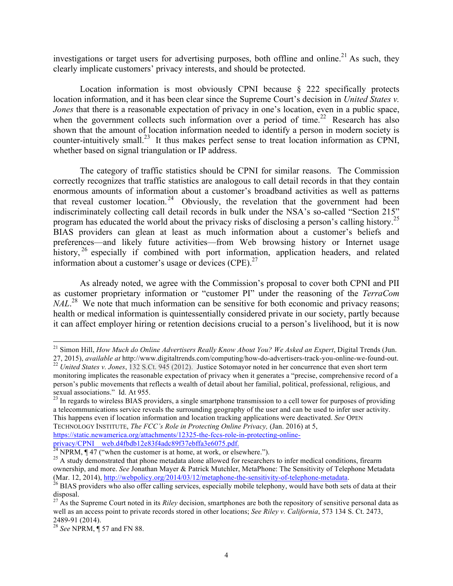investigations or target users for advertising purposes, both offline and online.<sup>21</sup> As such, they clearly implicate customers' privacy interests, and should be protected.

Location information is most obviously CPNI because § 222 specifically protects location information, and it has been clear since the Supreme Court's decision in *United States v. Jones* that there is a reasonable expectation of privacy in one's location, even in a public space, when the government collects such information over a period of time.<sup>22</sup> Research has also shown that the amount of location information needed to identify a person in modern society is counter-intuitively small.23 It thus makes perfect sense to treat location information as CPNI, whether based on signal triangulation or IP address.

The category of traffic statistics should be CPNI for similar reasons. The Commission correctly recognizes that traffic statistics are analogous to call detail records in that they contain enormous amounts of information about a customer's broadband activities as well as patterns that reveal customer location.<sup>24</sup> Obviously, the revelation that the government had been indiscriminately collecting call detail records in bulk under the NSA's so-called "Section 215" program has educated the world about the privacy risks of disclosing a person's calling history.<sup>25</sup> BIAS providers can glean at least as much information about a customer's beliefs and preferences—and likely future activities—from Web browsing history or Internet usage history, <sup>26</sup> especially if combined with port information, application headers, and related information about a customer's usage or devices  $(CPE)$ .<sup>27</sup>

As already noted, we agree with the Commission's proposal to cover both CPNI and PII as customer proprietary information or "customer PI" under the reasoning of the *TerraCom NAL*<sup>28</sup> We note that much information can be sensitive for both economic and privacy reasons; health or medical information is quintessentially considered private in our society, partly because it can affect employer hiring or retention decisions crucial to a person's livelihood, but it is now

https://static.newamerica.org/attachments/12325-the-fccs-role-in-protecting-onlineprivacy/CPNI web.d4fbdb12e83f4adc89f37ebffa3e6075.pdf.<br><sup>24</sup> NPRM, ¶47 ("when the customer is at home, at work, or elsewhere.").<br><sup>25</sup> A study demonstrated that phone metadata alone allowed for researchers to infer medical c

<sup>&</sup>lt;sup>21</sup> Simon Hill, *How Much do Online Advertisers Really Know About You? We Asked an Expert*, Digital Trends (Jun. 27, 2015), *available at http://www.digitaltrends.com/computing/how-do-advertisers-track-you-online-we-found* 

<sup>&</sup>lt;sup>22</sup> United States v. Jones, 132 S.Ct. 945 (2012). Justice Sotomayor noted in her concurrence that even short term monitoring implicates the reasonable expectation of privacy when it generates a "precise, comprehensive record of a person's public movements that reflects a wealth of detail about her familial, political, professional, religious, and

 $\frac{23}{23}$  In regards to wireless BIAS providers, a single smartphone transmission to a cell tower for purposes of providing a telecommunications service reveals the surrounding geography of the user and can be used to infer user activity. This happens even if location information and location tracking applications were deactivated. *See* OPEN TECHNOLOGY INSTITUTE, *The FCC's Role in Protecting Online Privacy,* (Jan. 2016) at 5,

ownership, and more. *See* Jonathan Mayer & Patrick Mutchler, MetaPhone: The Sensitivity of Telephone Metadata (Mar. 12, 2014),  $\frac{http://webpolicy.org/2014/03/12/metaphone-the-sensitivity-of-telephone-metaldata.$ <sup>26</sup> BIAS providers who also offer calling services, especially mobile telephony, would have both sets of data at their

disposal.

<sup>&</sup>lt;sup>27</sup> As the Supreme Court noted in its *Riley* decision, smartphones are both the repository of sensitive personal data as well as an access point to private records stored in other locations; *See Riley v. California*, 573 134 S. Ct. 2473,

<sup>&</sup>lt;sup>28</sup> *See* NPRM, **[** 57 and FN 88.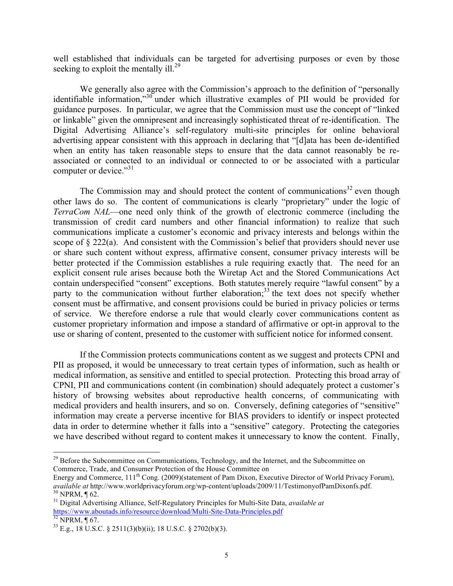well established that individuals can be targeted for advertising purposes or even by those seeking to exploit the mentally ill.<sup>29</sup>

We generally also agree with the Commission's approach to the definition of "personally" identifiable information,"<sup>30</sup> under which illustrative examples of PII would be provided for guidance purposes. In particular, we agree that the Commission must use the concept of "linked or linkable" given the omnipresent and increasingly sophisticated threat of re-identification. The Digital Advertising Alliance's self-regulatory multi-site principles for online behavioral advertising appear consistent with this approach in declaring that "[d]ata has been de-identified when an entity has taken reasonable steps to ensure that the data cannot reasonably be reassociated or connected to an individual or connected to or be associated with a particular computer or device."<sup>31</sup>

The Commission may and should protect the content of communications<sup>32</sup> even though other laws do so. The content of communications is clearly "proprietary" under the logic of *TerraCom NAL*—one need only think of the growth of electronic commerce (including the transmission of credit card numbers and other financial information) to realize that such communications implicate a customer's economic and privacy interests and belongs within the scope of § 222(a). And consistent with the Commission's belief that providers should never use or share such content without express, affirmative consent, consumer privacy interests will be better protected if the Commission establishes a rule requiring exactly that. The need for an explicit consent rule arises because both the Wiretap Act and the Stored Communications Act contain underspecified "consent" exceptions. Both statutes merely require "lawful consent" by a party to the communication without further elaboration; $^{33}$  the text does not specify whether consent must be affirmative, and consent provisions could be buried in privacy policies or terms of service. We therefore endorse a rule that would clearly cover communications content as customer proprietary information and impose a standard of affirmative or opt-in approval to the use or sharing of content, presented to the customer with sufficient notice for informed consent.

If the Commission protects communications content as we suggest and protects CPNI and PII as proposed, it would be unnecessary to treat certain types of information, such as health or medical information, as sensitive and entitled to special protection. Protecting this broad array of CPNI, PII and communications content (in combination) should adequately protect a customer's history of browsing websites about reproductive health concerns, of communicating with medical providers and health insurers, and so on. Conversely, defining categories of "sensitive" information may create a perverse incentive for BIAS providers to identify or inspect protected data in order to determine whether it falls into a "sensitive" category. Protecting the categories we have described without regard to content makes it unnecessary to know the content. Finally,

<sup>&</sup>lt;sup>29</sup> Before the Subcommittee on Communications, Technology, and the Internet, and the Subcommittee on Commerce, Trade, and Consumer Protection of the House Committee on

Energy and Commerce, 111<sup>th</sup> Cong. (2009)(statement of Pam Dixon, Executive Director of World Privacy Forum), *available at* http://www.worldprivacyforum.org/wp-content/uploads/2009/11/TestimonyofPamDixonfs.pdf. <sup>30</sup> NPRM,  $\sqrt{\frac{62}{10}}$ <br><sup>31</sup> Digital Advertising Alliance, Self-Regulatory Principles for Multi-Site Data, *available at* 

https://www.aboutads.info/resource/download/Multi-Site-Data-Principles.pdf<br><sup>32</sup> NPRM, ¶ 67.<br><sup>33</sup> E.g., 18 U.S.C. § 2511(3)(b)(ii); 18 U.S.C. § 2702(b)(3).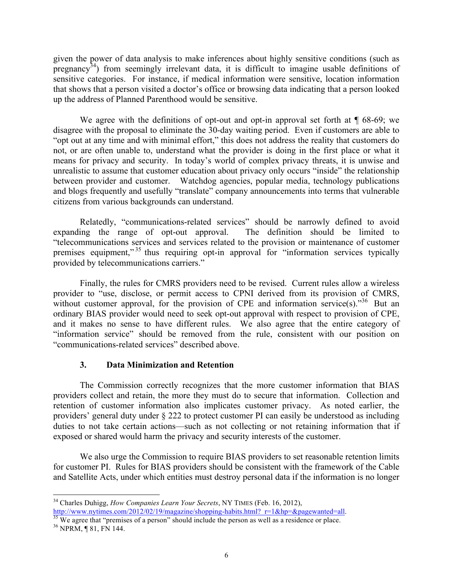given the power of data analysis to make inferences about highly sensitive conditions (such as pregnancy<sup>34</sup>) from seemingly irrelevant data, it is difficult to imagine usable definitions of sensitive categories. For instance, if medical information were sensitive, location information that shows that a person visited a doctor's office or browsing data indicating that a person looked up the address of Planned Parenthood would be sensitive.

We agree with the definitions of opt-out and opt-in approval set forth at  $\P$  68-69; we disagree with the proposal to eliminate the 30-day waiting period. Even if customers are able to "opt out at any time and with minimal effort," this does not address the reality that customers do not, or are often unable to, understand what the provider is doing in the first place or what it means for privacy and security. In today's world of complex privacy threats, it is unwise and unrealistic to assume that customer education about privacy only occurs "inside" the relationship between provider and customer. Watchdog agencies, popular media, technology publications and blogs frequently and usefully "translate" company announcements into terms that vulnerable citizens from various backgrounds can understand.

Relatedly, "communications-related services" should be narrowly defined to avoid expanding the range of opt-out approval. The definition should be limited to "telecommunications services and services related to the provision or maintenance of customer premises equipment,"<sup>35</sup> thus requiring opt-in approval for "information services typically provided by telecommunications carriers."

Finally, the rules for CMRS providers need to be revised. Current rules allow a wireless provider to "use, disclose, or permit access to CPNI derived from its provision of CMRS, without customer approval, for the provision of CPE and information service(s).<sup>356</sup> But an ordinary BIAS provider would need to seek opt-out approval with respect to provision of CPE, and it makes no sense to have different rules. We also agree that the entire category of "information service" should be removed from the rule, consistent with our position on "communications-related services" described above.

### **3. Data Minimization and Retention**

The Commission correctly recognizes that the more customer information that BIAS providers collect and retain, the more they must do to secure that information. Collection and retention of customer information also implicates customer privacy. As noted earlier, the providers' general duty under § 222 to protect customer PI can easily be understood as including duties to not take certain actions—such as not collecting or not retaining information that if exposed or shared would harm the privacy and security interests of the customer.

We also urge the Commission to require BIAS providers to set reasonable retention limits for customer PI. Rules for BIAS providers should be consistent with the framework of the Cable and Satellite Acts, under which entities must destroy personal data if the information is no longer

 <sup>34</sup> Charles Duhigg, *How Companies Learn Your Secrets*, NY TIMES (Feb. 16, 2012),

http://www.nytimes.com/2012/02/19/magazine/shopping-habits.html?  $r=1\&$ hp= $\&$ pagewanted=all.<br><sup>35</sup> We agree that "premises of a person" should include the person as well as a residence or place.<br><sup>36</sup> NPRM, ¶ 81, FN 144.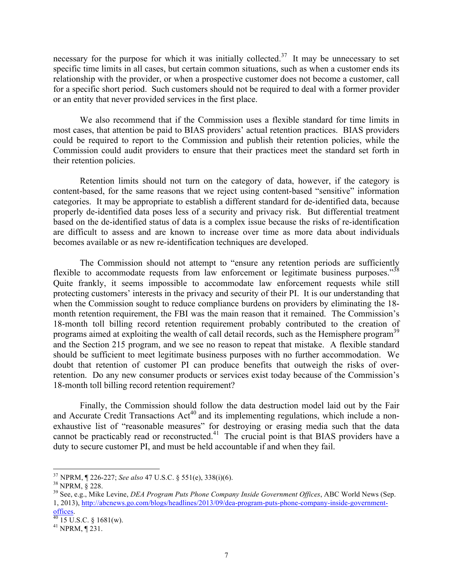necessary for the purpose for which it was initially collected.<sup>37</sup> It may be unnecessary to set specific time limits in all cases, but certain common situations, such as when a customer ends its relationship with the provider, or when a prospective customer does not become a customer, call for a specific short period. Such customers should not be required to deal with a former provider or an entity that never provided services in the first place.

We also recommend that if the Commission uses a flexible standard for time limits in most cases, that attention be paid to BIAS providers' actual retention practices. BIAS providers could be required to report to the Commission and publish their retention policies, while the Commission could audit providers to ensure that their practices meet the standard set forth in their retention policies.

Retention limits should not turn on the category of data, however, if the category is content-based, for the same reasons that we reject using content-based "sensitive" information categories. It may be appropriate to establish a different standard for de-identified data, because properly de-identified data poses less of a security and privacy risk. But differential treatment based on the de-identified status of data is a complex issue because the risks of re-identification are difficult to assess and are known to increase over time as more data about individuals becomes available or as new re-identification techniques are developed.

The Commission should not attempt to "ensure any retention periods are sufficiently flexible to accommodate requests from law enforcement or legitimate business purposes.<sup>338</sup> Quite frankly, it seems impossible to accommodate law enforcement requests while still protecting customers' interests in the privacy and security of their PI. It is our understanding that when the Commission sought to reduce compliance burdens on providers by eliminating the 18 month retention requirement, the FBI was the main reason that it remained. The Commission's 18-month toll billing record retention requirement probably contributed to the creation of programs aimed at exploiting the wealth of call detail records, such as the Hemisphere program<sup>39</sup> and the Section 215 program, and we see no reason to repeat that mistake. A flexible standard should be sufficient to meet legitimate business purposes with no further accommodation. We doubt that retention of customer PI can produce benefits that outweigh the risks of overretention. Do any new consumer products or services exist today because of the Commission's 18-month toll billing record retention requirement?

Finally, the Commission should follow the data destruction model laid out by the Fair and Accurate Credit Transactions  $Act^{40}$  and its implementing regulations, which include a nonexhaustive list of "reasonable measures" for destroying or erasing media such that the data cannot be practicably read or reconstructed.<sup>41</sup> The crucial point is that BIAS providers have a duty to secure customer PI, and must be held accountable if and when they fail.

<sup>&</sup>lt;sup>37</sup> NPRM, ¶ 226-227; *See also* 47 U.S.C. § 551(e), 338(i)(6).<br><sup>38</sup> NPRM, § 228.<br><sup>39</sup> See, e.g., Mike Levine, *DEA Program Puts Phone Company Inside Government Offices*, ABC World News (Sep. 1, 2013), http://abcnews.go.com/blogs/headlines/2013/09/dea-program-puts-phone-company-inside-government-

 $\frac{\text{offices}}{40}$  15 U.S.C. § 1681(w).<br><sup>41</sup> NPRM, ¶ 231.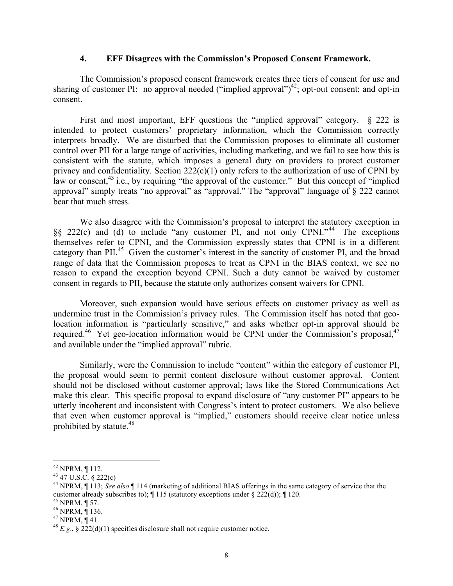#### **4. EFF Disagrees with the Commission's Proposed Consent Framework.**

The Commission's proposed consent framework creates three tiers of consent for use and sharing of customer PI: no approval needed ("implied approval")<sup>42</sup>; opt-out consent; and opt-in consent.

First and most important, EFF questions the "implied approval" category. § 222 is intended to protect customers' proprietary information, which the Commission correctly interprets broadly. We are disturbed that the Commission proposes to eliminate all customer control over PII for a large range of activities, including marketing, and we fail to see how this is consistent with the statute, which imposes a general duty on providers to protect customer privacy and confidentiality. Section  $222(c)(1)$  only refers to the authorization of use of CPNI by law or consent,<sup>43</sup> i.e., by requiring "the approval of the customer." But this concept of "implied approval" simply treats "no approval" as "approval." The "approval" language of § 222 cannot bear that much stress.

We also disagree with the Commission's proposal to interpret the statutory exception in §§ 222(c) and (d) to include "any customer PI, and not only CPNI."44 The exceptions themselves refer to CPNI, and the Commission expressly states that CPNI is in a different category than PII.<sup>45</sup> Given the customer's interest in the sanctity of customer PI, and the broad range of data that the Commission proposes to treat as CPNI in the BIAS context, we see no reason to expand the exception beyond CPNI. Such a duty cannot be waived by customer consent in regards to PII, because the statute only authorizes consent waivers for CPNI.

Moreover, such expansion would have serious effects on customer privacy as well as undermine trust in the Commission's privacy rules. The Commission itself has noted that geolocation information is "particularly sensitive," and asks whether opt-in approval should be required.<sup>46</sup> Yet geo-location information would be CPNI under the Commission's proposal,  $47$ and available under the "implied approval" rubric.

Similarly, were the Commission to include "content" within the category of customer PI, the proposal would seem to permit content disclosure without customer approval. Content should not be disclosed without customer approval; laws like the Stored Communications Act make this clear. This specific proposal to expand disclosure of "any customer PI" appears to be utterly incoherent and inconsistent with Congress's intent to protect customers. We also believe that even when customer approval is "implied," customers should receive clear notice unless prohibited by statute.<sup>48</sup>

<sup>42</sup> NPRM, ¶ 112.<br><sup>43</sup> 47 U.S.C. § 222(c)<br><sup>44</sup> NPRM, ¶ 113; *See also* ¶ 114 (marketing of additional BIAS offerings in the same category of service that the<br>customer already subscribes to); ¶ 115 (statutory exceptions under

<sup>&</sup>lt;sup>45</sup> NPRM, ¶ 57.<br><sup>46</sup> NPRM, ¶ 136.<br><sup>47</sup> NPRM, ¶ 41.<br><sup>48</sup> *E.g.*, § 222(d)(1) specifies disclosure shall not require customer notice.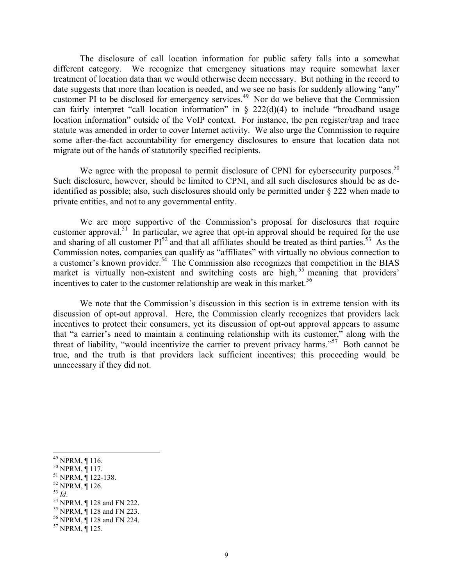The disclosure of call location information for public safety falls into a somewhat different category. We recognize that emergency situations may require somewhat laxer treatment of location data than we would otherwise deem necessary. But nothing in the record to date suggests that more than location is needed, and we see no basis for suddenly allowing "any" customer PI to be disclosed for emergency services.<sup>49</sup> Nor do we believe that the Commission can fairly interpret "call location information" in  $\S$  222(d)(4) to include "broadband usage location information" outside of the VoIP context. For instance, the pen register/trap and trace statute was amended in order to cover Internet activity. We also urge the Commission to require some after-the-fact accountability for emergency disclosures to ensure that location data not migrate out of the hands of statutorily specified recipients.

We agree with the proposal to permit disclosure of CPNI for cybersecurity purposes.<sup>50</sup> Such disclosure, however, should be limited to CPNI, and all such disclosures should be as deidentified as possible; also, such disclosures should only be permitted under § 222 when made to private entities, and not to any governmental entity.

We are more supportive of the Commission's proposal for disclosures that require customer approval.<sup>51</sup> In particular, we agree that opt-in approval should be required for the use and sharing of all customer  $PI^{52}$  and that all affiliates should be treated as third parties.<sup>53</sup> As the Commission notes, companies can qualify as "affiliates" with virtually no obvious connection to a customer's known provider.<sup>54</sup> The Commission also recognizes that competition in the BIAS market is virtually non-existent and switching costs are high, <sup>55</sup> meaning that providers' incentives to cater to the customer relationship are weak in this market.<sup>56</sup>

We note that the Commission's discussion in this section is in extreme tension with its discussion of opt-out approval. Here, the Commission clearly recognizes that providers lack incentives to protect their consumers, yet its discussion of opt-out approval appears to assume that "a carrier's need to maintain a continuing relationship with its customer," along with the threat of liability, "would incentivize the carrier to prevent privacy harms."57 Both cannot be true, and the truth is that providers lack sufficient incentives; this proceeding would be unnecessary if they did not.

<sup>49</sup> NPRM, ¶ 116.<br>
<sup>51</sup> NPRM, ¶ 117.<br>
<sup>51</sup> NPRM, ¶ 122-138.<br>
<sup>52</sup> NPRM, ¶ 126.<br>
<sup>54</sup> NPRM, ¶ 128 and FN 222.<br>
<sup>55</sup> NPRM, ¶ 128 and FN 224.<br>
<sup>56</sup> NPRM, ¶ 128 and FN 224.<br>
<sup>57</sup> NPRM, ¶ 125.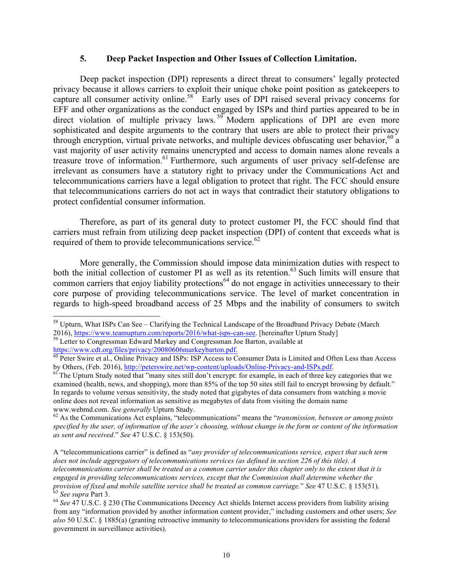### **5. Deep Packet Inspection and Other Issues of Collection Limitation.**

Deep packet inspection (DPI) represents a direct threat to consumers' legally protected privacy because it allows carriers to exploit their unique choke point position as gatekeepers to example all consumer activity online.<sup>58</sup> Early uses of DPI raised several privacy concerns for EFF and other organizations as the conduct engaged by ISPs and third parties appeared to be in direct violation of multiple privacy laws.<sup>59</sup> Modern applications of DPI are even more sophisticated and despite arguments to the contrary that users are able to protect their privacy through encryption, virtual private networks, and multiple devices obfuscating user behavior,  $60$  a vast majority of user activity remains unencrypted and access to domain names alone reveals a treasure trove of information.<sup>61</sup> Furthermore, such arguments of user privacy self-defense are irrelevant as consumers have a statutory right to privacy under the Communications Act and telecommunications carriers have a legal obligation to protect that right. The FCC should ensure that telecommunications carriers do not act in ways that contradict their statutory obligations to protect confidential consumer information.

Therefore, as part of its general duty to protect customer PI, the FCC should find that carriers must refrain from utilizing deep packet inspection (DPI) of content that exceeds what is required of them to provide telecommunications service.<sup>62</sup>

More generally, the Commission should impose data minimization duties with respect to both the initial collection of customer PI as well as its retention.<sup>63</sup> Such limits will ensure that common carriers that enjoy liability protections<sup>64</sup> do not engage in activities unnecessary to their core purpose of providing telecommunications service. The level of market concentration in regards to high-speed broadband access of 25 Mbps and the inability of consumers to switch

 <sup>58</sup> Upturn, What ISPs Can See – Clarifying the Technical Landscape of the Broadband Privacy Debate (March 2016), https://www.teamupturn.com/reports/2016/what-isps-can-see. [hereinafter Upturn Study] <sup>59</sup> Letter to Congressman Edward Markey and Congressman Joe Barton, available at

https://www.cdt.org/files/privacy/20080606markeybarton.pdf.<br><sup>60</sup> Peter Swire et al., Online Privacy and ISPs: ISP Access to Consumer Data is Limited and Often Less than Access<br>by Others, (Feb. 2016), http://peterswire.net/

<sup>&</sup>lt;sup>61</sup> The Upturn Study noted that "many sites still don't encrypt: for example, in each of three key categories that we examined (health, news, and shopping), more than 85% of the top 50 sites still fail to encrypt browsing by default." In regards to volume versus sensitivity, the study noted that gigabytes of data consumers from watching a movie online does not reveal information as sensitive as megabytes of data from visiting the domain name

www.webmd.com. *See generally* Upturn Study.<br><sup>62</sup> As the Communications Act explains, "telecommunications" means the "*transmission, between or among points specified by the user, of information of the user's choosing, without change in the form or content of the information as sent and received*." *See* 47 U.S.C. § 153(50).

A "telecommunications carrier" is defined as "*any provider of telecommunications service, expect that such term does not include aggregators of telecommunications services (as defined in section 226 of this title). A telecommunications carrier shall be treated as a common carrier under this chapter only to the extent that it is engaged in providing telecommunications services, except that the Commission shall determine whether the*  provision of fixed and mobile satellite service shall be treated as common carriage." See 47 U.S.C. § 153(51).<br><sup>63</sup> See supra Part 3.<br><sup>64</sup> See 47 U.S.C. § 230 (The Communications Decency Act shields Internet access provide

from any "information provided by another information content provider," including customers and other users; *See also* 50 U.S.C. § 1885(a) (granting retroactive immunity to telecommunications providers for assisting the federal government in surveillance activities).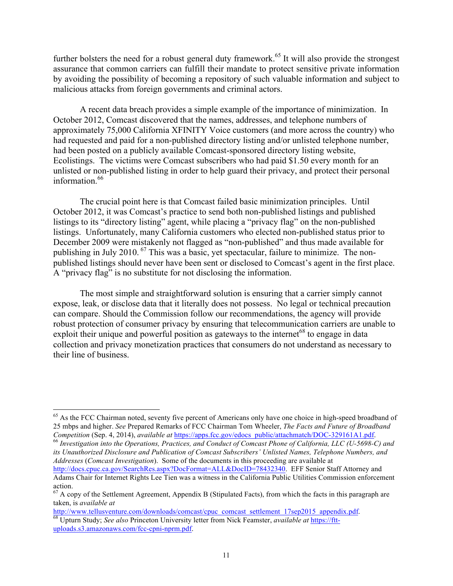further bolsters the need for a robust general duty framework.<sup>65</sup> It will also provide the strongest assurance that common carriers can fulfill their mandate to protect sensitive private information by avoiding the possibility of becoming a repository of such valuable information and subject to malicious attacks from foreign governments and criminal actors.

A recent data breach provides a simple example of the importance of minimization. In October 2012, Comcast discovered that the names, addresses, and telephone numbers of approximately 75,000 California XFINITY Voice customers (and more across the country) who had requested and paid for a non-published directory listing and/or unlisted telephone number, had been posted on a publicly available Comcast-sponsored directory listing website, Ecolistings. The victims were Comcast subscribers who had paid \$1.50 every month for an unlisted or non-published listing in order to help guard their privacy, and protect their personal information.<sup>66</sup>

The crucial point here is that Comcast failed basic minimization principles. Until October 2012, it was Comcast's practice to send both non-published listings and published listings to its "directory listing" agent, while placing a "privacy flag" on the non-published listings. Unfortunately, many California customers who elected non-published status prior to December 2009 were mistakenly not flagged as "non-published" and thus made available for publishing in July 2010. <sup>67</sup> This was a basic, yet spectacular, failure to minimize. The nonpublished listings should never have been sent or disclosed to Comcast's agent in the first place. A "privacy flag" is no substitute for not disclosing the information.

The most simple and straightforward solution is ensuring that a carrier simply cannot expose, leak, or disclose data that it literally does not possess. No legal or technical precaution can compare. Should the Commission follow our recommendations, the agency will provide robust protection of consumer privacy by ensuring that telecommunication carriers are unable to exploit their unique and powerful position as gateways to the internet<sup>68</sup> to engage in data collection and privacy monetization practices that consumers do not understand as necessary to their line of business.

<sup>66</sup> Investigation into the Operations, Practices, and Conduct of Comcast Phone of California, LLC (U-5698-C) and *its Unauthorized Disclosure and Publication of Comcast Subscribers' Unlisted Names, Telephone Numbers, and Addresses* (*Comcast Investigation*). Some of the documents in this proceeding are available at http://docs.cpuc.ca.gov/SearchRes.aspx?DocFormat=ALL&DocID=78432340. EFF Senior Staff Attorney and

<sup>&</sup>lt;sup>65</sup> As the FCC Chairman noted, seventy five percent of Americans only have one choice in high-speed broadband of 25 mbps and higher. *See* Prepared Remarks of FCC Chairman Tom Wheeler, *The Facts and Future of Broadband* 

Adams Chair for Internet Rights Lee Tien was a witness in the California Public Utilities Commission enforcement action.

 $\frac{67}{67}$  A copy of the Settlement Agreement, Appendix B (Stipulated Facts), from which the facts in this paragraph are taken, is *available at*<br>http://www.tellusventure.com/downloads/comcast/cpuc\_comcast\_settlement\_17sep2015\_appendix.pdf.

http://www.tellusventure.com<br><sup>68</sup> Upturn Study; *See also* Princeton University letter from Nick Feamster, *available at* https://fttuploads.s3.amazonaws.com/fcc-cpni-nprm.pdf.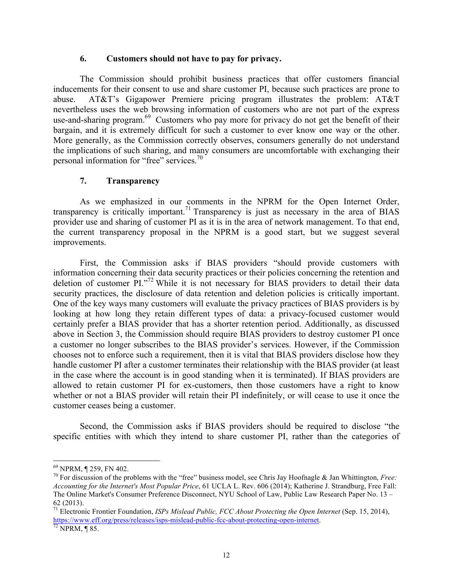#### **6. Customers should not have to pay for privacy.**

The Commission should prohibit business practices that offer customers financial inducements for their consent to use and share customer PI, because such practices are prone to abuse. AT&T's Gigapower Premiere pricing program illustrates the problem: AT&T nevertheless uses the web browsing information of customers who are not part of the express use-and-sharing program.<sup>69</sup> Customers who pay more for privacy do not get the benefit of their bargain, and it is extremely difficult for such a customer to ever know one way or the other. More generally, as the Commission correctly observes, consumers generally do not understand the implications of such sharing, and many consumers are uncomfortable with exchanging their personal information for "free" services.<sup>70</sup>

#### **7. Transparency**

As we emphasized in our comments in the NPRM for the Open Internet Order, transparency is critically important.<sup>71</sup> Transparency is just as necessary in the area of BIAS provider use and sharing of customer PI as it is in the area of network management. To that end, the current transparency proposal in the NPRM is a good start, but we suggest several improvements.

First, the Commission asks if BIAS providers "should provide customers with information concerning their data security practices or their policies concerning the retention and deletion of customer PI."<sup>72</sup> While it is not necessary for BIAS providers to detail their data security practices, the disclosure of data retention and deletion policies is critically important. One of the key ways many customers will evaluate the privacy practices of BIAS providers is by looking at how long they retain different types of data: a privacy-focused customer would certainly prefer a BIAS provider that has a shorter retention period. Additionally, as discussed above in Section 3, the Commission should require BIAS providers to destroy customer PI once a customer no longer subscribes to the BIAS provider's services. However, if the Commission chooses not to enforce such a requirement, then it is vital that BIAS providers disclose how they handle customer PI after a customer terminates their relationship with the BIAS provider (at least in the case where the account is in good standing when it is terminated). If BIAS providers are allowed to retain customer PI for ex-customers, then those customers have a right to know whether or not a BIAS provider will retain their PI indefinitely, or will cease to use it once the customer ceases being a customer.

Second, the Commission asks if BIAS providers should be required to disclose "the specific entities with which they intend to share customer PI, rather than the categories of

<sup>&</sup>lt;sup>69</sup> NPRM,  $\P$  259, FN 402.<br><sup>70</sup> For discussion of the problems with the "free" business model, see Chris Jay Hoofnagle & Jan Whittington, *Free: Accounting for the Internet's Most Popular Price*, 61 UCLA L. Rev. 606 (2014); Katherine J. Strandburg, Free Fall: The Online Market's Consumer Preference Disconnect, NYU School of Law, Public Law Research Paper No. 13 – 62 (2013).

<sup>71</sup> Electronic Frontier Foundation, *ISPs Mislead Public, FCC About Protecting the Open Internet* (Sep. 15, 2014), https://www.eff.org/press/releases/isps-mislead-public-fcc-about-protecting-open-internet.<br><sup>72</sup> NPRM, ¶ 85.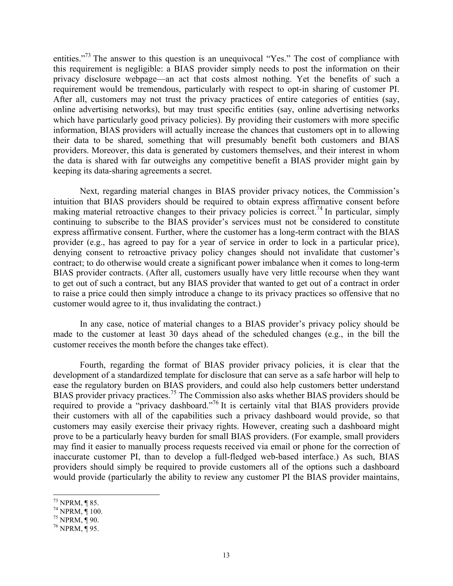entities."<sup>73</sup> The answer to this question is an unequivocal "Yes." The cost of compliance with this requirement is negligible: a BIAS provider simply needs to post the information on their privacy disclosure webpage—an act that costs almost nothing. Yet the benefits of such a requirement would be tremendous, particularly with respect to opt-in sharing of customer PI. After all, customers may not trust the privacy practices of entire categories of entities (say, online advertising networks), but may trust specific entities (say, online advertising networks which have particularly good privacy policies). By providing their customers with more specific information, BIAS providers will actually increase the chances that customers opt in to allowing their data to be shared, something that will presumably benefit both customers and BIAS providers. Moreover, this data is generated by customers themselves, and their interest in whom the data is shared with far outweighs any competitive benefit a BIAS provider might gain by keeping its data-sharing agreements a secret.

Next, regarding material changes in BIAS provider privacy notices, the Commission's intuition that BIAS providers should be required to obtain express affirmative consent before making material retroactive changes to their privacy policies is correct.<sup>74</sup> In particular, simply continuing to subscribe to the BIAS provider's services must not be considered to constitute express affirmative consent. Further, where the customer has a long-term contract with the BIAS provider (e.g., has agreed to pay for a year of service in order to lock in a particular price), denying consent to retroactive privacy policy changes should not invalidate that customer's contract; to do otherwise would create a significant power imbalance when it comes to long-term BIAS provider contracts. (After all, customers usually have very little recourse when they want to get out of such a contract, but any BIAS provider that wanted to get out of a contract in order to raise a price could then simply introduce a change to its privacy practices so offensive that no customer would agree to it, thus invalidating the contract.)

In any case, notice of material changes to a BIAS provider's privacy policy should be made to the customer at least 30 days ahead of the scheduled changes (e.g., in the bill the customer receives the month before the changes take effect).

Fourth, regarding the format of BIAS provider privacy policies, it is clear that the development of a standardized template for disclosure that can serve as a safe harbor will help to ease the regulatory burden on BIAS providers, and could also help customers better understand BIAS provider privacy practices.<sup>75</sup> The Commission also asks whether BIAS providers should be required to provide a "privacy dashboard."<sup>76</sup> It is certainly vital that BIAS providers provide their customers with all of the capabilities such a privacy dashboard would provide, so that customers may easily exercise their privacy rights. However, creating such a dashboard might prove to be a particularly heavy burden for small BIAS providers. (For example, small providers may find it easier to manually process requests received via email or phone for the correction of inaccurate customer PI, than to develop a full-fledged web-based interface.) As such, BIAS providers should simply be required to provide customers all of the options such a dashboard would provide (particularly the ability to review any customer PI the BIAS provider maintains,

<sup>&</sup>lt;sup>73</sup> NPRM, ¶ 85.<br><sup>74</sup> NPRM, ¶ 100.<br><sup>75</sup> NPRM, ¶ 90.<br><sup>76</sup> NPRM, ¶ 95.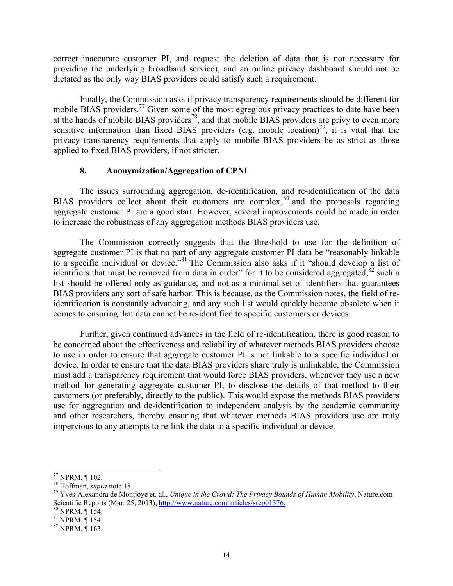correct inaccurate customer PI, and request the deletion of data that is not necessary for providing the underlying broadband service), and an online privacy dashboard should not be dictated as the only way BIAS providers could satisfy such a requirement.

Finally, the Commission asks if privacy transparency requirements should be different for mobile BIAS providers.<sup>77</sup> Given some of the most egregious privacy practices to date have been at the hands of mobile BIAS providers<sup>78</sup>, and that mobile BIAS providers are privy to even more sensitive information than fixed BIAS providers (e.g. mobile location)<sup>79</sup>, it is vital that the privacy transparency requirements that apply to mobile BIAS providers be as strict as those applied to fixed BIAS providers, if not stricter.

## **8. Anonymization/Aggregation of CPNI**

The issues surrounding aggregation, de-identification, and re-identification of the data BIAS providers collect about their customers are complex,<sup>80</sup> and the proposals regarding aggregate customer PI are a good start. However, several improvements could be made in order to increase the robustness of any aggregation methods BIAS providers use.

The Commission correctly suggests that the threshold to use for the definition of aggregate customer PI is that no part of any aggregate customer PI data be "reasonably linkable to a specific individual or device." <sup>81</sup> The Commission also asks if it "should develop a list of identifiers that must be removed from data in order" for it to be considered aggregated; $82$  such a list should be offered only as guidance, and not as a minimal set of identifiers that guarantees BIAS providers any sort of safe harbor. This is because, as the Commission notes, the field of reidentification is constantly advancing, and any such list would quickly become obsolete when it comes to ensuring that data cannot be re-identified to specific customers or devices.

Further, given continued advances in the field of re-identification, there is good reason to be concerned about the effectiveness and reliability of whatever methods BIAS providers choose to use in order to ensure that aggregate customer PI is not linkable to a specific individual or device. In order to ensure that the data BIAS providers share truly is unlinkable, the Commission must add a transparency requirement that would force BIAS providers, whenever they use a new method for generating aggregate customer PI, to disclose the details of that method to their customers (or preferably, directly to the public). This would expose the methods BIAS providers use for aggregation and de-identification to independent analysis by the academic community and other researchers, thereby ensuring that whatever methods BIAS providers use are truly impervious to any attempts to re-link the data to a specific individual or device.

 <sup>77</sup> NPRM, ¶ 102. 78 Hoffman, *supra* note 18. <sup>79</sup> Yves-Alexandra de Montjoye et. al., *Unique in the Crowd: The Privacy Bounds of Human Mobility*, Nature.com Scientific Reports (Mar. 25, 2013),  $\frac{http://www.nature.com/articles/step01376.}_{80}$ <br>
<sup>80</sup> NPRM, ¶ 154.<br>
<sup>81</sup> NPRM, ¶ 154.<br>
<sup>82</sup> NPRM, ¶ 163.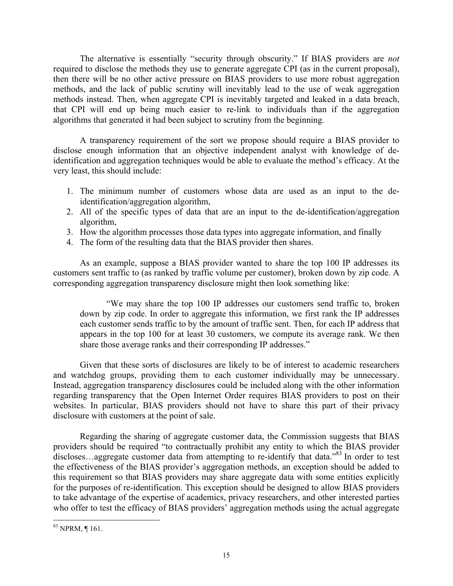The alternative is essentially "security through obscurity." If BIAS providers are *not* required to disclose the methods they use to generate aggregate CPI (as in the current proposal), then there will be no other active pressure on BIAS providers to use more robust aggregation methods, and the lack of public scrutiny will inevitably lead to the use of weak aggregation methods instead. Then, when aggregate CPI is inevitably targeted and leaked in a data breach, that CPI will end up being much easier to re-link to individuals than if the aggregation algorithms that generated it had been subject to scrutiny from the beginning.

A transparency requirement of the sort we propose should require a BIAS provider to disclose enough information that an objective independent analyst with knowledge of deidentification and aggregation techniques would be able to evaluate the method's efficacy. At the very least, this should include:

- 1. The minimum number of customers whose data are used as an input to the deidentification/aggregation algorithm,
- 2. All of the specific types of data that are an input to the de-identification/aggregation algorithm,
- 3. How the algorithm processes those data types into aggregate information, and finally
- 4. The form of the resulting data that the BIAS provider then shares.

As an example, suppose a BIAS provider wanted to share the top 100 IP addresses its customers sent traffic to (as ranked by traffic volume per customer), broken down by zip code. A corresponding aggregation transparency disclosure might then look something like:

"We may share the top 100 IP addresses our customers send traffic to, broken down by zip code. In order to aggregate this information, we first rank the IP addresses each customer sends traffic to by the amount of traffic sent. Then, for each IP address that appears in the top 100 for at least 30 customers, we compute its average rank. We then share those average ranks and their corresponding IP addresses."

Given that these sorts of disclosures are likely to be of interest to academic researchers and watchdog groups, providing them to each customer individually may be unnecessary. Instead, aggregation transparency disclosures could be included along with the other information regarding transparency that the Open Internet Order requires BIAS providers to post on their websites. In particular, BIAS providers should not have to share this part of their privacy disclosure with customers at the point of sale.

Regarding the sharing of aggregate customer data, the Commission suggests that BIAS providers should be required "to contractually prohibit any entity to which the BIAS provider discloses…aggregate customer data from attempting to re-identify that data." <sup>83</sup> In order to test the effectiveness of the BIAS provider's aggregation methods, an exception should be added to this requirement so that BIAS providers may share aggregate data with some entities explicitly for the purposes of re-identification. This exception should be designed to allow BIAS providers to take advantage of the expertise of academics, privacy researchers, and other interested parties who offer to test the efficacy of BIAS providers' aggregation methods using the actual aggregate

 <sup>83</sup> NPRM, ¶ 161.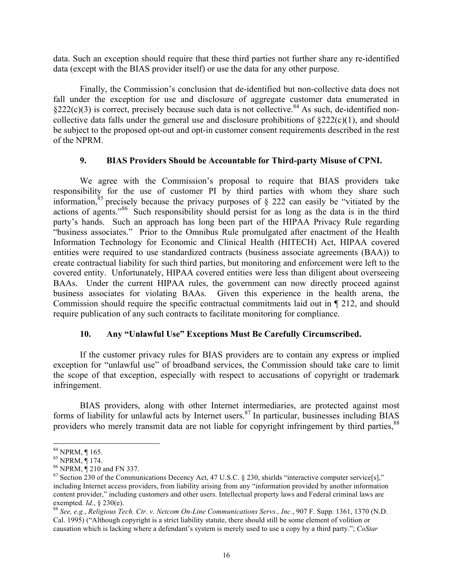data. Such an exception should require that these third parties not further share any re-identified data (except with the BIAS provider itself) or use the data for any other purpose.

Finally, the Commission's conclusion that de-identified but non-collective data does not fall under the exception for use and disclosure of aggregate customer data enumerated in §222(c)(3) is correct, precisely because such data is not collective.<sup>84</sup> As such, de-identified noncollective data falls under the general use and disclosure prohibitions of  $\S222(c)(1)$ , and should be subject to the proposed opt-out and opt-in customer consent requirements described in the rest of the NPRM.

## **9. BIAS Providers Should be Accountable for Third-party Misuse of CPNI.**

We agree with the Commission's proposal to require that BIAS providers take responsibility for the use of customer PI by third parties with whom they share such information,  $85$  precisely because the privacy purposes of  $\frac{1}{5}$  222 can easily be "vitiated by the actions of agents."86 Such responsibility should persist for as long as the data is in the third party's hands. Such an approach has long been part of the HIPAA Privacy Rule regarding "business associates." Prior to the Omnibus Rule promulgated after enactment of the Health Information Technology for Economic and Clinical Health (HITECH) Act, HIPAA covered entities were required to use standardized contracts (business associate agreements (BAA)) to create contractual liability for such third parties, but monitoring and enforcement were left to the covered entity. Unfortunately, HIPAA covered entities were less than diligent about overseeing BAAs. Under the current HIPAA rules, the government can now directly proceed against business associates for violating BAAs. Given this experience in the health arena, the Commission should require the specific contractual commitments laid out in ¶ 212, and should require publication of any such contracts to facilitate monitoring for compliance.

# **10. Any "Unlawful Use" Exceptions Must Be Carefully Circumscribed.**

If the customer privacy rules for BIAS providers are to contain any express or implied exception for "unlawful use" of broadband services, the Commission should take care to limit the scope of that exception, especially with respect to accusations of copyright or trademark infringement.

BIAS providers, along with other Internet intermediaries, are protected against most forms of liability for unlawful acts by Internet users.<sup>87</sup> In particular, businesses including BIAS providers who merely transmit data are not liable for copyright infringement by third parties, <sup>88</sup>

<sup>&</sup>lt;sup>84</sup> NPRM, ¶ 165.<br><sup>85</sup> NPRM, ¶ 174.<br><sup>86</sup> NPRM, ¶ 210 and FN 337.<br><sup>87</sup> Section 230 of the Communications Decency Act, 47 U.S.C. § 230, shields "interactive computer service[s]," including Internet access providers, from liability arising from any "information provided by another information content provider," including customers and other users. Intellectual property laws and Federal criminal laws are exempted. *Id.*, § 230(e).<br><sup>88</sup> *See, e.g.*, *Religious Tech. Ctr. v. Netcom On-Line Communications Servs., Inc.*, 907 F. Supp. 1361, 1370 (N.D.

Cal. 1995) ("Although copyright is a strict liability statute, there should still be some element of volition or causation which is lacking where a defendant's system is merely used to use a copy by a third party."; *CoStar*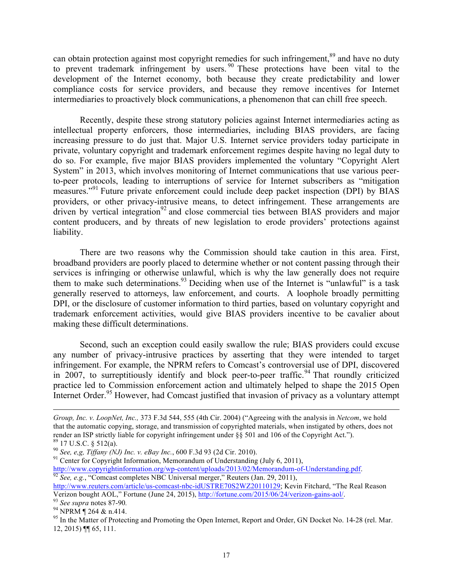can obtain protection against most copyright remedies for such infringement,<sup>89</sup> and have no duty to prevent trademark infringement by users.<sup>90</sup> These protections have been vital to the development of the Internet economy, both because they create predictability and lower compliance costs for service providers, and because they remove incentives for Internet intermediaries to proactively block communications, a phenomenon that can chill free speech.

Recently, despite these strong statutory policies against Internet intermediaries acting as intellectual property enforcers, those intermediaries, including BIAS providers, are facing increasing pressure to do just that. Major U.S. Internet service providers today participate in private, voluntary copyright and trademark enforcement regimes despite having no legal duty to do so. For example, five major BIAS providers implemented the voluntary "Copyright Alert System" in 2013, which involves monitoring of Internet communications that use various peerto-peer protocols, leading to interruptions of service for Internet subscribers as "mitigation measures."<sup>91</sup> Future private enforcement could include deep packet inspection (DPI) by BIAS providers, or other privacy-intrusive means, to detect infringement. These arrangements are driven by vertical integration $92$  and close commercial ties between BIAS providers and major content producers, and by threats of new legislation to erode providers' protections against liability.

There are two reasons why the Commission should take caution in this area. First, broadband providers are poorly placed to determine whether or not content passing through their services is infringing or otherwise unlawful, which is why the law generally does not require them to make such determinations.<sup>93</sup> Deciding when use of the Internet is "unlawful" is a task generally reserved to attorneys, law enforcement, and courts. A loophole broadly permitting DPI, or the disclosure of customer information to third parties, based on voluntary copyright and trademark enforcement activities, would give BIAS providers incentive to be cavalier about making these difficult determinations.

Second, such an exception could easily swallow the rule; BIAS providers could excuse any number of privacy-intrusive practices by asserting that they were intended to target infringement. For example, the NPRM refers to Comcast's controversial use of DPI, discovered in 2007, to surreptitiously identify and block peer-to-peer traffic.<sup>94</sup> That roundly criticized practice led to Commission enforcement action and ultimately helped to shape the 2015 Open Internet Order.<sup>95</sup> However, had Comcast justified that invasion of privacy as a voluntary attempt

<u> 1989 - Andrea San Andrea San Andrea San Andrea San Andrea San Andrea San Andrea San Andrea San Andrea San An</u>

http://www.copyrightinformation.org/wp-content/uploads/2013/02/Memorandum-of-Understanding.pdf.<br><sup>92</sup> *See, e.g.*, "Comcast completes NBC Universal merger," Reuters (Jan. 29, 2011),

*Group, Inc. v. LoopNet, Inc.,* 373 F.3d 544, 555 (4th Cir. 2004) ("Agreeing with the analysis in *Netcom*, we hold that the automatic copying, storage, and transmission of copyrighted materials, when instigated by others, does not render an ISP strictly liable for copyright infringement under §§ 501 and 106 of the Copyright Act.").<br><sup>89</sup> 17 U.S.C. § 512(a).

<sup>&</sup>lt;sup>90</sup> *See, e,g, Tiffany (NJ) Inc. v. eBay Inc.*, 600 F.3d 93 (2d Cir. 2010).<br><sup>91</sup> Center for Copyright Information, Memorandum of Understanding (July 6, 2011),

http://www.reuters.com/article/us-comcast-nbc-idUSTRE70S2WZ20110129; Kevin Fitchard, "The Real Reason<br>Verizon bought AOL," Fortune (June 24, 2015), http://fortune.com/2015/06/24/verizon-gains-aol/.

<sup>&</sup>lt;sup>93</sup> See supra notes 87-90.<br><sup>94</sup> NPRM ¶ 264 & n.414.<br><sup>95</sup> In the Matter of Protecting and Promoting the Open Internet, Report and Order, GN Docket No. 14-28 (rel. Mar. 12, 2015) ¶¶ 65, 111.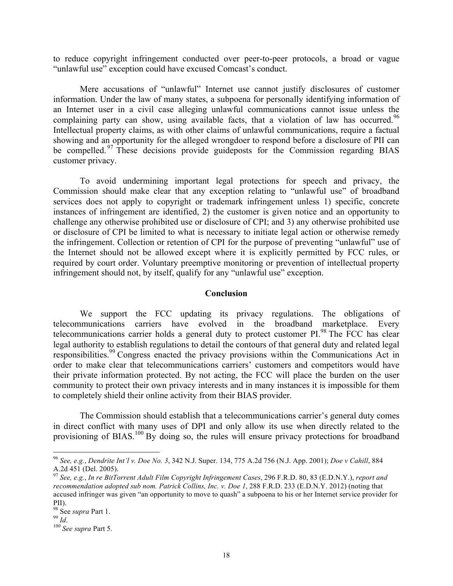to reduce copyright infringement conducted over peer-to-peer protocols, a broad or vague "unlawful use" exception could have excused Comcast's conduct.

Mere accusations of "unlawful" Internet use cannot justify disclosures of customer information. Under the law of many states, a subpoena for personally identifying information of an Internet user in a civil case alleging unlawful communications cannot issue unless the complaining party can show, using available facts, that a violation of law has occurred.<sup>96</sup> Intellectual property claims, as with other claims of unlawful communications, require a factual showing and an opportunity for the alleged wrongdoer to respond before a disclosure of PII can be compelled. <sup>97</sup> These decisions provide guideposts for the Commission regarding BIAS customer privacy.

To avoid undermining important legal protections for speech and privacy, the Commission should make clear that any exception relating to "unlawful use" of broadband services does not apply to copyright or trademark infringement unless 1) specific, concrete instances of infringement are identified, 2) the customer is given notice and an opportunity to challenge any otherwise prohibited use or disclosure of CPI; and 3) any otherwise prohibited use or disclosure of CPI be limited to what is necessary to initiate legal action or otherwise remedy the infringement. Collection or retention of CPI for the purpose of preventing "unlawful" use of the Internet should not be allowed except where it is explicitly permitted by FCC rules, or required by court order. Voluntary preemptive monitoring or prevention of intellectual property infringement should not, by itself, qualify for any "unlawful use" exception.

#### **Conclusion**

We support the FCC updating its privacy regulations. The obligations of telecommunications carriers have evolved in the broadband marketplace. Every telecommunications carrier holds a general duty to protect customer PI.<sup>98</sup> The FCC has clear legal authority to establish regulations to detail the contours of that general duty and related legal responsibilities.<sup>99</sup> Congress enacted the privacy provisions within the Communications Act in order to make clear that telecommunications carriers' customers and competitors would have their private information protected. By not acting, the FCC will place the burden on the user community to protect their own privacy interests and in many instances it is impossible for them to completely shield their online activity from their BIAS provider.

The Commission should establish that a telecommunications carrier's general duty comes in direct conflict with many uses of DPI and only allow its use when directly related to the provisioning of BIAS.<sup>100</sup> By doing so, the rules will ensure privacy protections for broadband

 <sup>96</sup> *See, e.g.*, *Dendrite Int'l v. Doe No. 3*, 342 N.J. Super. 134, 775 A.2d 756 (N.J. App. 2001); *Doe v Cahill*, 884 A.2d 451 (Del. 2005).

<sup>97</sup> *See, e.g.*, *In re BitTorrent Adult Film Copyright Infringement Cases*, 296 F.R.D. 80, 83 (E.D.N.Y.), *report and recommendation adopted sub nom. Patrick Collins, Inc. v. Doe 1*, 288 F.R.D. 233 (E.D.N.Y. 2012) (noting that accused infringer was given "an opportunity to move to quash" a subpoena to his or her Internet service provider for PII).

<sup>98</sup> See *supra* Part 1. <sup>99</sup> *Id*. <sup>100</sup> *See supra* Part 5.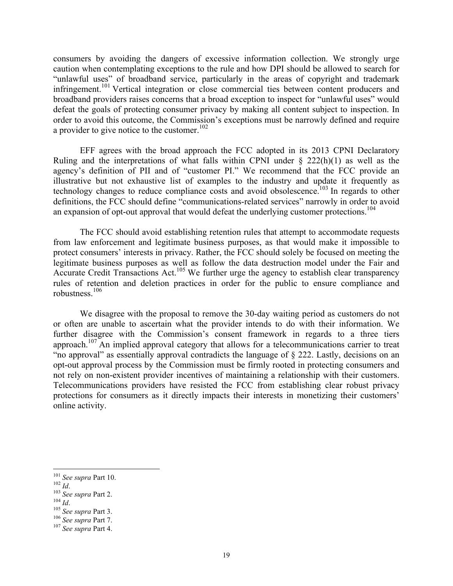consumers by avoiding the dangers of excessive information collection. We strongly urge caution when contemplating exceptions to the rule and how DPI should be allowed to search for "unlawful uses" of broadband service, particularly in the areas of copyright and trademark infringement.<sup>101</sup> Vertical integration or close commercial ties between content producers and broadband providers raises concerns that a broad exception to inspect for "unlawful uses" would defeat the goals of protecting consumer privacy by making all content subject to inspection. In order to avoid this outcome, the Commission's exceptions must be narrowly defined and require a provider to give notice to the customer.<sup>102</sup>

EFF agrees with the broad approach the FCC adopted in its 2013 CPNI Declaratory Ruling and the interpretations of what falls within CPNI under  $\S$  222(h)(1) as well as the agency's definition of PII and of "customer PI." We recommend that the FCC provide an illustrative but not exhaustive list of examples to the industry and update it frequently as technology changes to reduce compliance costs and avoid obsolescence.<sup>103</sup> In regards to other definitions, the FCC should define "communications-related services" narrowly in order to avoid an expansion of opt-out approval that would defeat the underlying customer protections.<sup>104</sup>

The FCC should avoid establishing retention rules that attempt to accommodate requests from law enforcement and legitimate business purposes, as that would make it impossible to protect consumers' interests in privacy. Rather, the FCC should solely be focused on meeting the legitimate business purposes as well as follow the data destruction model under the Fair and Accurate Credit Transactions Act.<sup>105</sup> We further urge the agency to establish clear transparency rules of retention and deletion practices in order for the public to ensure compliance and robustness.<sup>106</sup>

We disagree with the proposal to remove the 30-day waiting period as customers do not or often are unable to ascertain what the provider intends to do with their information. We further disagree with the Commission's consent framework in regards to a three tiers approach.<sup>107</sup> An implied approval category that allows for a telecommunications carrier to treat "no approval" as essentially approval contradicts the language of § 222. Lastly, decisions on an opt-out approval process by the Commission must be firmly rooted in protecting consumers and not rely on non-existent provider incentives of maintaining a relationship with their customers. Telecommunications providers have resisted the FCC from establishing clear robust privacy protections for consumers as it directly impacts their interests in monetizing their customers' online activity.

 <sup>101</sup> *See supra* Part 10. <sup>102</sup> *Id*. <sup>103</sup> *See supra* Part 2. <sup>104</sup> *Id*. <sup>105</sup> *See supra* Part 3. <sup>106</sup> *See supra* Part 7. <sup>107</sup> *See supra* Part 4.